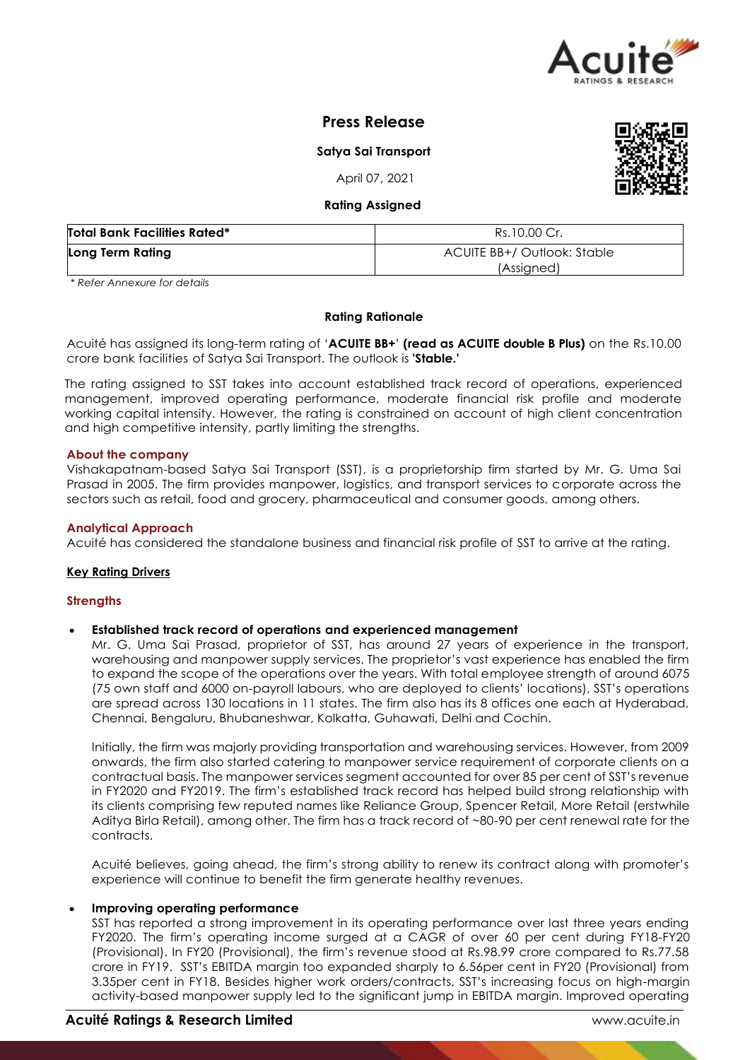

# **Press Release**

**Satya Sai Transport**

April 07, 2021

## **Rating Assigned**

| <b>Total Bank Facilities Rated*</b> | Rs.10.00 Cr.                              |  |  |
|-------------------------------------|-------------------------------------------|--|--|
| Long Term Rating                    | ACUITE BB+/ Outlook: Stable<br>(Assigned) |  |  |

*\* Refer Annexure for details*

## **Rating Rationale**

Acuité has assigned its long-term rating of '**ACUITE BB+**' **(read as ACUITE double B Plus)** on the Rs.10.00 crore bank facilities of Satya Sai Transport. The outlook is **'Stable.'**

The rating assigned to SST takes into account established track record of operations, experienced management, improved operating performance, moderate financial risk profile and moderate working capital intensity. However, the rating is constrained on account of high client concentration and high competitive intensity, partly limiting the strengths.

## **About the company**

Vishakapatnam-based Satya Sai Transport (SST), is a proprietorship firm started by Mr. G. Uma Sai Prasad in 2005. The firm provides manpower, logistics, and transport services to corporate across the sectors such as retail, food and grocery, pharmaceutical and consumer goods, among others.

## **Analytical Approach**

Acuité has considered the standalone business and financial risk profile of SST to arrive at the rating.

## **Key Rating Drivers**

## **Strengths**

## **Established track record of operations and experienced management**

Mr. G. Uma Sai Prasad, proprietor of SST, has around 27 years of experience in the transport, warehousing and manpower supply services. The proprietor's vast experience has enabled the firm to expand the scope of the operations over the years. With total employee strength of around 6075 (75 own staff and 6000 on-payroll labours, who are deployed to clients' locations), SST's operations are spread across 130 locations in 11 states. The firm also has its 8 offices one each at Hyderabad, Chennai, Bengaluru, Bhubaneshwar, Kolkatta, Guhawati, Delhi and Cochin.

Initially, the firm was majorly providing transportation and warehousing services. However, from 2009 onwards, the firm also started catering to manpower service requirement of corporate clients on a contractual basis. The manpower services segment accounted for over 85 per cent of SST's revenue in FY2020 and FY2019. The firm's established track record has helped build strong relationship with its clients comprising few reputed names like Reliance Group, Spencer Retail, More Retail (erstwhile Aditya Birla Retail), among other. The firm has a track record of ~80-90 per cent renewal rate for the contracts.

Acuité believes, going ahead, the firm's strong ability to renew its contract along with promoter's experience will continue to benefit the firm generate healthy revenues.

## **Improving operating performance**

SST has reported a strong improvement in its operating performance over last three years ending FY2020. The firm's operating income surged at a CAGR of over 60 per cent during FY18-FY20 (Provisional). In FY20 (Provisional), the firm's revenue stood at Rs.98.99 crore compared to Rs.77.58 crore in FY19. SST's EBITDA margin too expanded sharply to 6.56per cent in FY20 (Provisional) from 3.35per cent in FY18. Besides higher work orders/contracts, SST's increasing focus on high-margin activity-based manpower supply led to the significant jump in EBITDA margin. Improved operating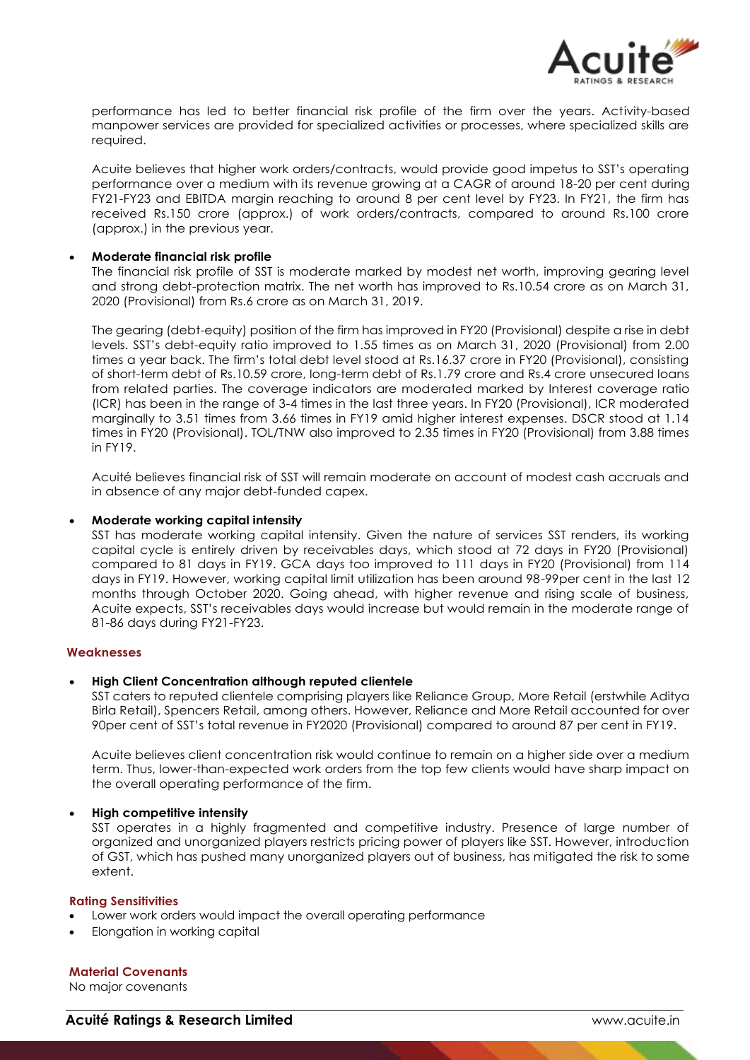

performance has led to better financial risk profile of the firm over the years. Activity-based manpower services are provided for specialized activities or processes, where specialized skills are required.

Acuite believes that higher work orders/contracts, would provide good impetus to SST's operating performance over a medium with its revenue growing at a CAGR of around 18-20 per cent during FY21-FY23 and EBITDA margin reaching to around 8 per cent level by FY23. In FY21, the firm has received Rs.150 crore (approx.) of work orders/contracts, compared to around Rs.100 crore (approx.) in the previous year.

## **Moderate financial risk profile**

The financial risk profile of SST is moderate marked by modest net worth, improving gearing level and strong debt-protection matrix. The net worth has improved to Rs.10.54 crore as on March 31, 2020 (Provisional) from Rs.6 crore as on March 31, 2019.

The gearing (debt-equity) position of the firm has improved in FY20 (Provisional) despite a rise in debt levels. SST's debt-equity ratio improved to 1.55 times as on March 31, 2020 (Provisional) from 2.00 times a year back. The firm's total debt level stood at Rs.16.37 crore in FY20 (Provisional), consisting of short-term debt of Rs.10.59 crore, long-term debt of Rs.1.79 crore and Rs.4 crore unsecured loans from related parties. The coverage indicators are moderated marked by Interest coverage ratio (ICR) has been in the range of 3-4 times in the last three years. In FY20 (Provisional), ICR moderated marginally to 3.51 times from 3.66 times in FY19 amid higher interest expenses. DSCR stood at 1.14 times in FY20 (Provisional). TOL/TNW also improved to 2.35 times in FY20 (Provisional) from 3.88 times in FY19.

Acuité believes financial risk of SST will remain moderate on account of modest cash accruals and in absence of any major debt-funded capex.

### **Moderate working capital intensity**

SST has moderate working capital intensity. Given the nature of services SST renders, its working capital cycle is entirely driven by receivables days, which stood at 72 days in FY20 (Provisional) compared to 81 days in FY19. GCA days too improved to 111 days in FY20 (Provisional) from 114 days in FY19. However, working capital limit utilization has been around 98-99per cent in the last 12 months through October 2020. Going ahead, with higher revenue and rising scale of business, Acuite expects, SST's receivables days would increase but would remain in the moderate range of 81-86 days during FY21-FY23.

#### **Weaknesses**

## **High Client Concentration although reputed clientele**

SST caters to reputed clientele comprising players like Reliance Group, More Retail (erstwhile Aditya Birla Retail), Spencers Retail, among others. However, Reliance and More Retail accounted for over 90per cent of SST's total revenue in FY2020 (Provisional) compared to around 87 per cent in FY19.

Acuite believes client concentration risk would continue to remain on a higher side over a medium term. Thus, lower-than-expected work orders from the top few clients would have sharp impact on the overall operating performance of the firm.

## **High competitive intensity**

SST operates in a highly fragmented and competitive industry. Presence of large number of organized and unorganized players restricts pricing power of players like SST. However, introduction of GST, which has pushed many unorganized players out of business, has mitigated the risk to some extent.

#### **Rating Sensitivities**

- Lower work orders would impact the overall operating performance
- Elongation in working capital

## **Material Covenants**

No major covenants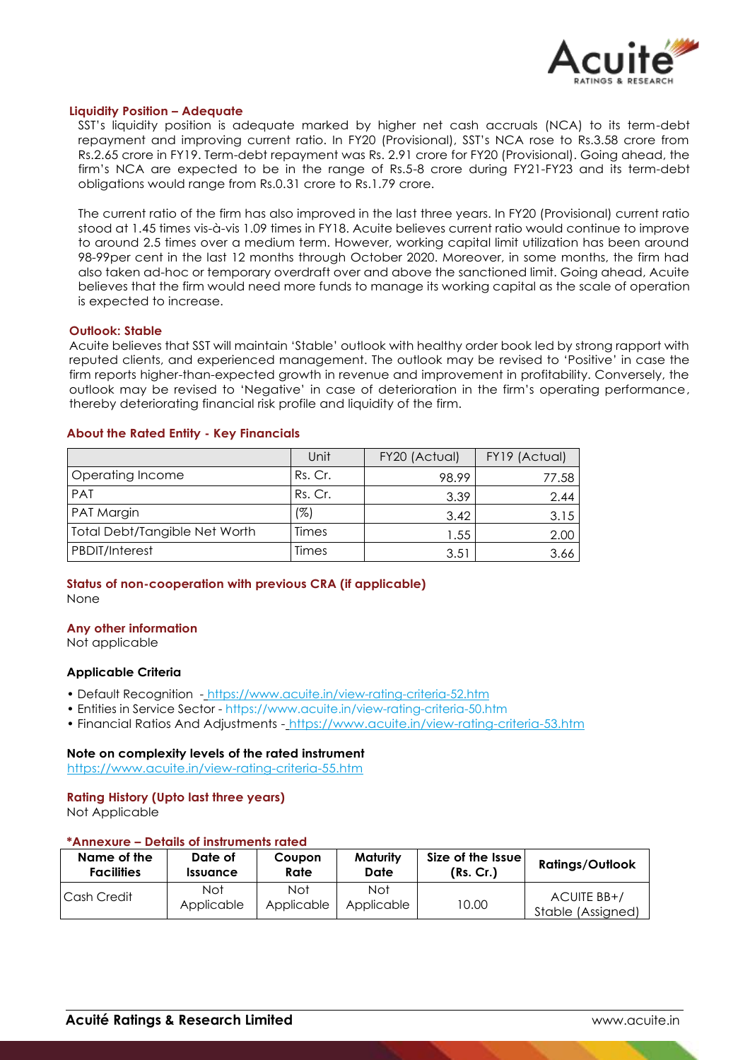

### **Liquidity Position – Adequate**

SST's liquidity position is adequate marked by higher net cash accruals (NCA) to its term-debt repayment and improving current ratio. In FY20 (Provisional), SST's NCA rose to Rs.3.58 crore from Rs.2.65 crore in FY19. Term-debt repayment was Rs. 2.91 crore for FY20 (Provisional). Going ahead, the firm's NCA are expected to be in the range of Rs.5-8 crore during FY21-FY23 and its term-debt obligations would range from Rs.0.31 crore to Rs.1.79 crore.

The current ratio of the firm has also improved in the last three years. In FY20 (Provisional) current ratio stood at 1.45 times vis-à-vis 1.09 times in FY18. Acuite believes current ratio would continue to improve to around 2.5 times over a medium term. However, working capital limit utilization has been around 98-99per cent in the last 12 months through October 2020. Moreover, in some months, the firm had also taken ad-hoc or temporary overdraft over and above the sanctioned limit. Going ahead, Acuite believes that the firm would need more funds to manage its working capital as the scale of operation is expected to increase.

#### **Outlook: Stable**

Acuite believes that SST will maintain 'Stable' outlook with healthy order book led by strong rapport with reputed clients, and experienced management. The outlook may be revised to 'Positive' in case the firm reports higher-than-expected growth in revenue and improvement in profitability. Conversely, the outlook may be revised to 'Negative' in case of deterioration in the firm's operating performance, thereby deteriorating financial risk profile and liquidity of the firm.

### **About the Rated Entity - Key Financials**

|                               | Unit    | FY20 (Actual) | FY19 (Actual) |
|-------------------------------|---------|---------------|---------------|
| Operating Income              | Rs. Cr. | 98.99         | 77.58         |
| PAT                           | Rs. Cr. | 3.39          | 2.44          |
| PAT Margin                    | (%)     | 3.42          | 3.15          |
| Total Debt/Tangible Net Worth | Times   | 1.55          | 2.00          |
| PBDIT/Interest                | Times   | 3.51          | 3.66          |

## **Status of non-cooperation with previous CRA (if applicable)** None

### **Any other information**

Not applicable

## **Applicable Criteria**

- Default Recognition https://www.acuite.in/view-rating-criteria-52.htm
- Entities in Service Sector https://www.acuite.in/view-rating-criteria-50.htm
- Financial Ratios And Adjustments https://www.acuite.in/view-rating-criteria-53.htm

## **Note on complexity levels of the rated instrument**

https://www.acuite.in/view-rating-criteria-55.htm

## **Rating History (Upto last three years)**

Not Applicable

#### **\*Annexure – Details of instruments rated**

| Name of the       | Date of                       | Coupon            | Maturity          | Size of the Issue | <b>Ratings/Outlook</b>           |
|-------------------|-------------------------------|-------------------|-------------------|-------------------|----------------------------------|
| <b>Facilities</b> | <i><u><b>Issuance</b></u></i> | Rate              | Date              | (Rs. Cr.)         |                                  |
| Cash Credit       | Not<br>Applicable             | Not<br>Applicable | Not<br>Applicable | 10.00             | ACUITE BB+/<br>Stable (Assigned) |